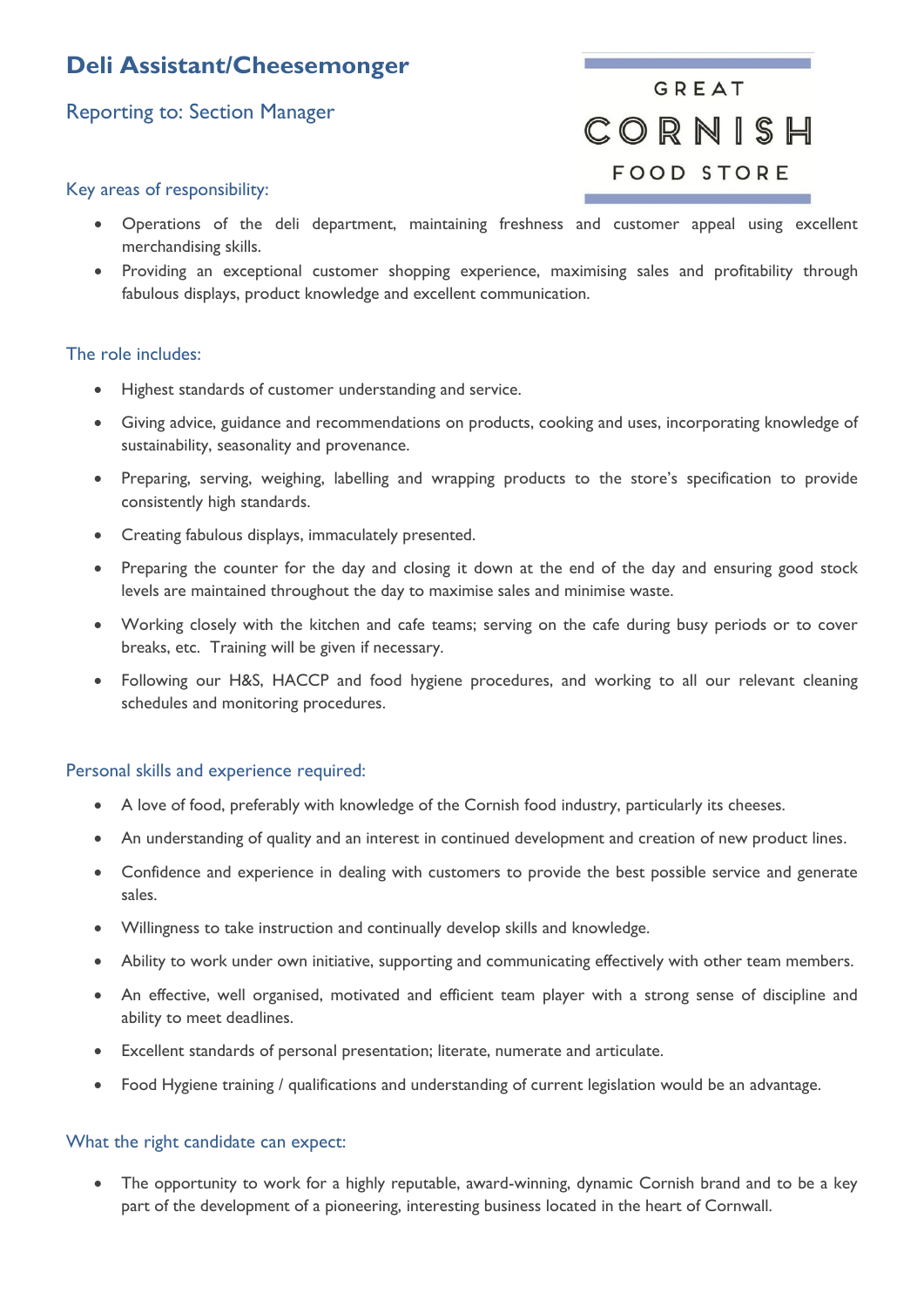## **Deli Assistant/Cheesemonger**

### Reporting to: Section Manager

# GREAT CORNISH **FOOD STORE**

#### Key areas of responsibility:

- Operations of the deli department, maintaining freshness and customer appeal using excellent merchandising skills.
- Providing an exceptional customer shopping experience, maximising sales and profitability through fabulous displays, product knowledge and excellent communication.

#### The role includes:

- Highest standards of customer understanding and service.
- Giving advice, guidance and recommendations on products, cooking and uses, incorporating knowledge of sustainability, seasonality and provenance.
- Preparing, serving, weighing, labelling and wrapping products to the store's specification to provide consistently high standards.
- Creating fabulous displays, immaculately presented.
- Preparing the counter for the day and closing it down at the end of the day and ensuring good stock levels are maintained throughout the day to maximise sales and minimise waste.
- Working closely with the kitchen and cafe teams; serving on the cafe during busy periods or to cover breaks, etc. Training will be given if necessary.
- Following our H&S, HACCP and food hygiene procedures, and working to all our relevant cleaning schedules and monitoring procedures.

#### Personal skills and experience required:

- A love of food, preferably with knowledge of the Cornish food industry, particularly its cheeses.
- An understanding of quality and an interest in continued development and creation of new product lines.
- Confidence and experience in dealing with customers to provide the best possible service and generate sales.
- Willingness to take instruction and continually develop skills and knowledge.
- Ability to work under own initiative, supporting and communicating effectively with other team members.
- An effective, well organised, motivated and efficient team player with a strong sense of discipline and ability to meet deadlines.
- Excellent standards of personal presentation; literate, numerate and articulate.
- Food Hygiene training / qualifications and understanding of current legislation would be an advantage.

#### What the right candidate can expect:

 The opportunity to work for a highly reputable, award-winning, dynamic Cornish brand and to be a key part of the development of a pioneering, interesting business located in the heart of Cornwall.